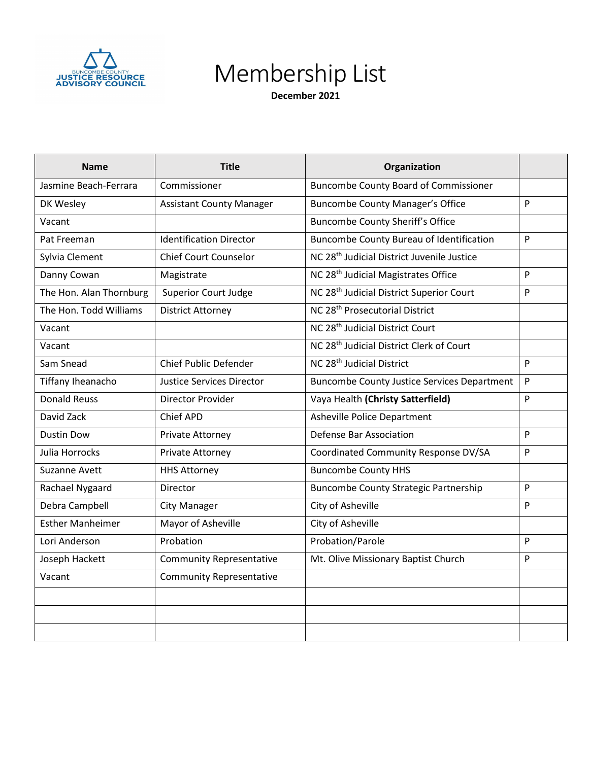

## Membership List

 **December 2021**

| <b>Name</b>             | <b>Title</b>                     | Organization                                           |   |
|-------------------------|----------------------------------|--------------------------------------------------------|---|
| Jasmine Beach-Ferrara   | Commissioner                     | <b>Buncombe County Board of Commissioner</b>           |   |
| DK Wesley               | <b>Assistant County Manager</b>  | <b>Buncombe County Manager's Office</b>                | P |
| Vacant                  |                                  | <b>Buncombe County Sheriff's Office</b>                |   |
| Pat Freeman             | <b>Identification Director</b>   | <b>Buncombe County Bureau of Identification</b>        | P |
| Sylvia Clement          | <b>Chief Court Counselor</b>     | NC 28 <sup>th</sup> Judicial District Juvenile Justice |   |
| Danny Cowan             | Magistrate                       | NC 28 <sup>th</sup> Judicial Magistrates Office        | P |
| The Hon. Alan Thornburg | <b>Superior Court Judge</b>      | NC 28 <sup>th</sup> Judicial District Superior Court   | P |
| The Hon. Todd Williams  | <b>District Attorney</b>         | NC 28 <sup>th</sup> Prosecutorial District             |   |
| Vacant                  |                                  | NC 28 <sup>th</sup> Judicial District Court            |   |
| Vacant                  |                                  | NC 28 <sup>th</sup> Judicial District Clerk of Court   |   |
| Sam Snead               | <b>Chief Public Defender</b>     | NC 28 <sup>th</sup> Judicial District                  | P |
| Tiffany Iheanacho       | <b>Justice Services Director</b> | <b>Buncombe County Justice Services Department</b>     | P |
| <b>Donald Reuss</b>     | Director Provider                | Vaya Health (Christy Satterfield)                      | P |
| David Zack              | Chief APD                        | <b>Asheville Police Department</b>                     |   |
| <b>Dustin Dow</b>       | Private Attorney                 | <b>Defense Bar Association</b>                         | P |
| Julia Horrocks          | Private Attorney                 | Coordinated Community Response DV/SA                   | P |
| <b>Suzanne Avett</b>    | <b>HHS Attorney</b>              | <b>Buncombe County HHS</b>                             |   |
| Rachael Nygaard         | <b>Director</b>                  | <b>Buncombe County Strategic Partnership</b>           | P |
| Debra Campbell          | <b>City Manager</b>              | City of Asheville                                      | P |
| <b>Esther Manheimer</b> | Mayor of Asheville               | City of Asheville                                      |   |
| Lori Anderson           | Probation                        | Probation/Parole                                       | P |
| Joseph Hackett          | <b>Community Representative</b>  | Mt. Olive Missionary Baptist Church                    | P |
| Vacant                  | <b>Community Representative</b>  |                                                        |   |
|                         |                                  |                                                        |   |
|                         |                                  |                                                        |   |
|                         |                                  |                                                        |   |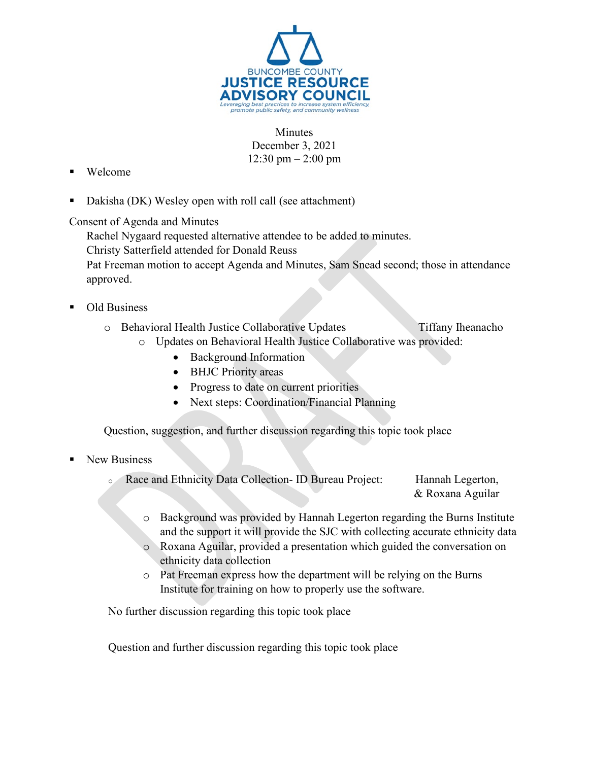

**Minutes** December 3, 2021 12:30 pm – 2:00 pm

- Welcome
- Dakisha (DK) Wesley open with roll call (see attachment)

Consent of Agenda and Minutes

Rachel Nygaard requested alternative attendee to be added to minutes.

Christy Satterfield attended for Donald Reuss

Pat Freeman motion to accept Agenda and Minutes, Sam Snead second; those in attendance approved.

- Old Business
	- o Behavioral Health Justice Collaborative Updates Tiffany Iheanacho
		- o Updates on Behavioral Health Justice Collaborative was provided:
			- Background Information
			- BHJC Priority areas
			- Progress to date on current priorities
			- Next steps: Coordination/Financial Planning

Question, suggestion, and further discussion regarding this topic took place

- New Business
	- Race and Ethnicity Data Collection- ID Bureau Project: Hannah Legerton, & Roxana Aguilar
		- o Background was provided by Hannah Legerton regarding the Burns Institute and the support it will provide the SJC with collecting accurate ethnicity data
		- o Roxana Aguilar, provided a presentation which guided the conversation on ethnicity data collection
		- o Pat Freeman express how the department will be relying on the Burns Institute for training on how to properly use the software.

No further discussion regarding this topic took place

Question and further discussion regarding this topic took place